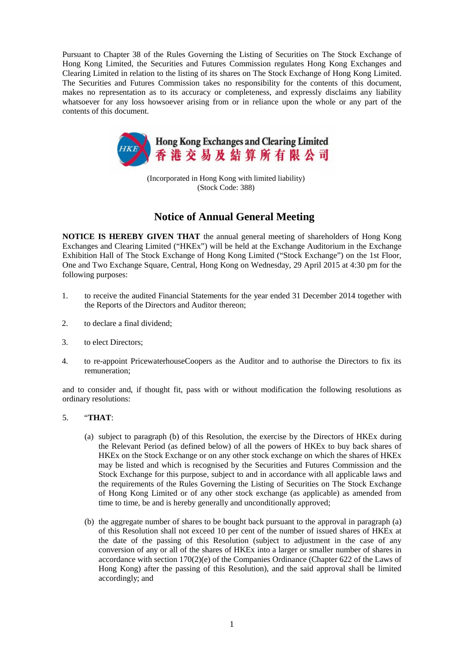Pursuant to Chapter 38 of the Rules Governing the Listing of Securities on The Stock Exchange of Hong Kong Limited, the Securities and Futures Commission regulates Hong Kong Exchanges and Clearing Limited in relation to the listing of its shares on The Stock Exchange of Hong Kong Limited. The Securities and Futures Commission takes no responsibility for the contents of this document, makes no representation as to its accuracy or completeness, and expressly disclaims any liability whatsoever for any loss howsoever arising from or in reliance upon the whole or any part of the contents of this document.



(Incorporated in Hong Kong with limited liability) (Stock Code: 388)

## **Notice of Annual General Meeting**

**NOTICE IS HEREBY GIVEN THAT** the annual general meeting of shareholders of Hong Kong Exchanges and Clearing Limited ("HKEx") will be held at the Exchange Auditorium in the Exchange Exhibition Hall of The Stock Exchange of Hong Kong Limited ("Stock Exchange") on the 1st Floor, One and Two Exchange Square, Central, Hong Kong on Wednesday, 29 April 2015 at 4:30 pm for the following purposes:

- 1. to receive the audited Financial Statements for the year ended 31 December 2014 together with the Reports of the Directors and Auditor thereon;
- 2. to declare a final dividend;
- 3. to elect Directors;
- 4. to re-appoint PricewaterhouseCoopers as the Auditor and to authorise the Directors to fix its remuneration;

and to consider and, if thought fit, pass with or without modification the following resolutions as ordinary resolutions:

## 5. "**THAT**:

- (a) subject to paragraph (b) of this Resolution, the exercise by the Directors of HKEx during the Relevant Period (as defined below) of all the powers of HKEx to buy back shares of HKEx on the Stock Exchange or on any other stock exchange on which the shares of HKEx may be listed and which is recognised by the Securities and Futures Commission and the Stock Exchange for this purpose, subject to and in accordance with all applicable laws and the requirements of the Rules Governing the Listing of Securities on The Stock Exchange of Hong Kong Limited or of any other stock exchange (as applicable) as amended from time to time, be and is hereby generally and unconditionally approved;
- (b) the aggregate number of shares to be bought back pursuant to the approval in paragraph (a) of this Resolution shall not exceed 10 per cent of the number of issued shares of HKEx at the date of the passing of this Resolution (subject to adjustment in the case of any conversion of any or all of the shares of HKEx into a larger or smaller number of shares in accordance with section 170(2)(e) of the Companies Ordinance (Chapter 622 of the Laws of Hong Kong) after the passing of this Resolution), and the said approval shall be limited accordingly; and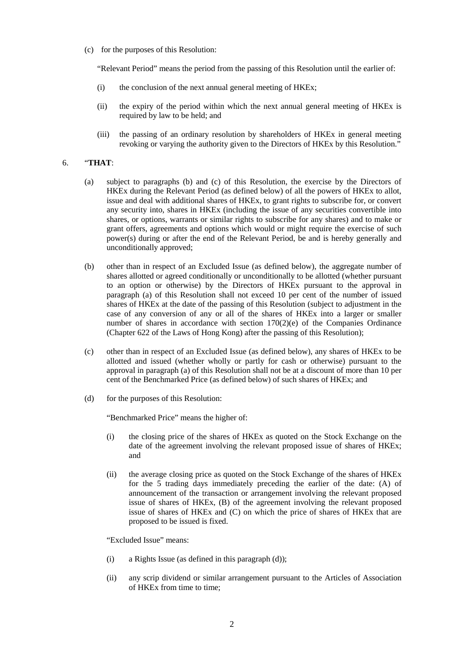(c) for the purposes of this Resolution:

"Relevant Period" means the period from the passing of this Resolution until the earlier of:

- (i) the conclusion of the next annual general meeting of HKEx;
- (ii) the expiry of the period within which the next annual general meeting of HKEx is required by law to be held; and
- (iii) the passing of an ordinary resolution by shareholders of HKEx in general meeting revoking or varying the authority given to the Directors of HKEx by this Resolution."

## 6. "**THAT**:

- (a) subject to paragraphs (b) and (c) of this Resolution, the exercise by the Directors of HKEx during the Relevant Period (as defined below) of all the powers of HKEx to allot, issue and deal with additional shares of HKEx, to grant rights to subscribe for, or convert any security into, shares in HKEx (including the issue of any securities convertible into shares, or options, warrants or similar rights to subscribe for any shares) and to make or grant offers, agreements and options which would or might require the exercise of such power(s) during or after the end of the Relevant Period, be and is hereby generally and unconditionally approved;
- (b) other than in respect of an Excluded Issue (as defined below), the aggregate number of shares allotted or agreed conditionally or unconditionally to be allotted (whether pursuant to an option or otherwise) by the Directors of HKEx pursuant to the approval in paragraph (a) of this Resolution shall not exceed 10 per cent of the number of issued shares of HKEx at the date of the passing of this Resolution (subject to adjustment in the case of any conversion of any or all of the shares of HKEx into a larger or smaller number of shares in accordance with section 170(2)(e) of the Companies Ordinance (Chapter 622 of the Laws of Hong Kong) after the passing of this Resolution);
- (c) other than in respect of an Excluded Issue (as defined below), any shares of HKEx to be allotted and issued (whether wholly or partly for cash or otherwise) pursuant to the approval in paragraph (a) of this Resolution shall not be at a discount of more than 10 per cent of the Benchmarked Price (as defined below) of such shares of HKEx; and
- (d) for the purposes of this Resolution:

"Benchmarked Price" means the higher of:

- (i) the closing price of the shares of HKEx as quoted on the Stock Exchange on the date of the agreement involving the relevant proposed issue of shares of HKEx; and
- (ii) the average closing price as quoted on the Stock Exchange of the shares of HKEx for the 5 trading days immediately preceding the earlier of the date: (A) of announcement of the transaction or arrangement involving the relevant proposed issue of shares of HKEx, (B) of the agreement involving the relevant proposed issue of shares of HKEx and (C) on which the price of shares of HKEx that are proposed to be issued is fixed.

"Excluded Issue" means:

- (i) a Rights Issue (as defined in this paragraph (d));
- (ii) any scrip dividend or similar arrangement pursuant to the Articles of Association of HKEx from time to time;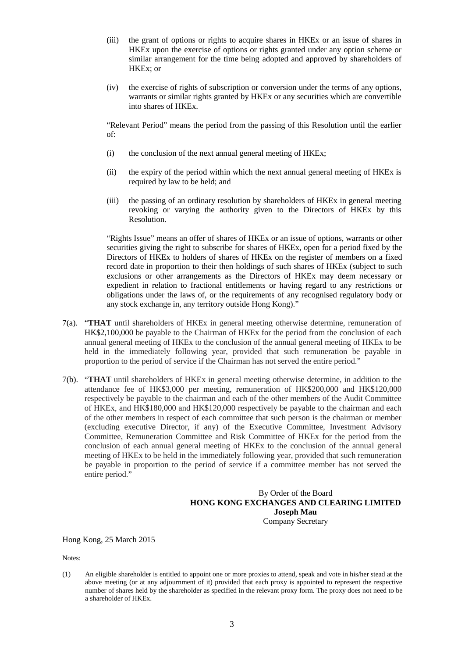- (iii) the grant of options or rights to acquire shares in HKEx or an issue of shares in HKEx upon the exercise of options or rights granted under any option scheme or similar arrangement for the time being adopted and approved by shareholders of HKEx; or
- (iv) the exercise of rights of subscription or conversion under the terms of any options, warrants or similar rights granted by HKEx or any securities which are convertible into shares of HKEx.

"Relevant Period" means the period from the passing of this Resolution until the earlier of:

- (i) the conclusion of the next annual general meeting of HKEx;
- (ii) the expiry of the period within which the next annual general meeting of HKEx is required by law to be held; and
- (iii) the passing of an ordinary resolution by shareholders of HKEx in general meeting revoking or varying the authority given to the Directors of HKEx by this Resolution.

"Rights Issue" means an offer of shares of HKEx or an issue of options, warrants or other securities giving the right to subscribe for shares of HKEx, open for a period fixed by the Directors of HKEx to holders of shares of HKEx on the register of members on a fixed record date in proportion to their then holdings of such shares of HKEx (subject to such exclusions or other arrangements as the Directors of HKEx may deem necessary or expedient in relation to fractional entitlements or having regard to any restrictions or obligations under the laws of, or the requirements of any recognised regulatory body or any stock exchange in, any territory outside Hong Kong)."

- 7(a). "**THAT** until shareholders of HKEx in general meeting otherwise determine, remuneration of HK\$2,100,000 be payable to the Chairman of HKEx for the period from the conclusion of each annual general meeting of HKEx to the conclusion of the annual general meeting of HKEx to be held in the immediately following year, provided that such remuneration be payable in proportion to the period of service if the Chairman has not served the entire period."
- 7(b). "**THAT** until shareholders of HKEx in general meeting otherwise determine, in addition to the attendance fee of HK\$3,000 per meeting, remuneration of HK\$200,000 and HK\$120,000 respectively be payable to the chairman and each of the other members of the Audit Committee of HKEx, and HK\$180,000 and HK\$120,000 respectively be payable to the chairman and each of the other members in respect of each committee that such person is the chairman or member (excluding executive Director, if any) of the Executive Committee, Investment Advisory Committee, Remuneration Committee and Risk Committee of HKEx for the period from the conclusion of each annual general meeting of HKEx to the conclusion of the annual general meeting of HKEx to be held in the immediately following year, provided that such remuneration be payable in proportion to the period of service if a committee member has not served the entire period."

## By Order of the Board **HONG KONG EXCHANGES AND CLEARING LIMITED Joseph Mau** Company Secretary

Hong Kong, 25 March 2015

Notes:

(1) An eligible shareholder is entitled to appoint one or more proxies to attend, speak and vote in his/her stead at the above meeting (or at any adjournment of it) provided that each proxy is appointed to represent the respective number of shares held by the shareholder as specified in the relevant proxy form. The proxy does not need to be a shareholder of HKEx.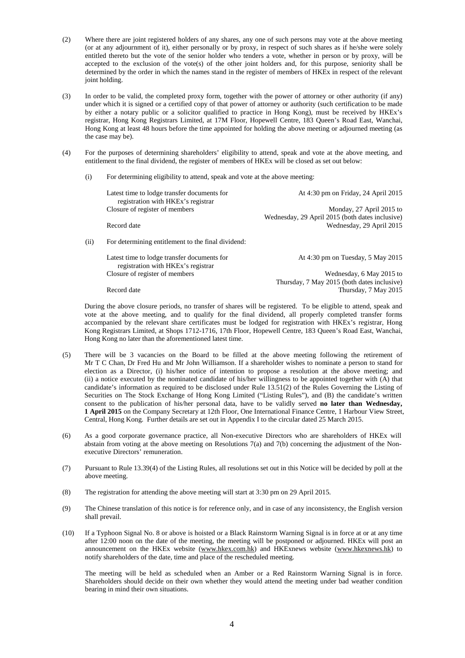- (2) Where there are joint registered holders of any shares, any one of such persons may vote at the above meeting (or at any adjournment of it), either personally or by proxy, in respect of such shares as if he/she were solely entitled thereto but the vote of the senior holder who tenders a vote, whether in person or by proxy, will be accepted to the exclusion of the vote(s) of the other joint holders and, for this purpose, seniority shall be determined by the order in which the names stand in the register of members of HKEx in respect of the relevant joint holding.
- (3) In order to be valid, the completed proxy form, together with the power of attorney or other authority (if any) under which it is signed or a certified copy of that power of attorney or authority (such certification to be made by either a notary public or a solicitor qualified to practice in Hong Kong), must be received by HKEx's registrar, Hong Kong Registrars Limited, at 17M Floor, Hopewell Centre, 183 Queen's Road East, Wanchai, Hong Kong at least 48 hours before the time appointed for holding the above meeting or adjourned meeting (as the case may be).
- (4) For the purposes of determining shareholders' eligibility to attend, speak and vote at the above meeting, and entitlement to the final dividend, the register of members of HKEx will be closed as set out below:
	- (i) For determining eligibility to attend, speak and vote at the above meeting:

|      | Latest time to lodge transfer documents for<br>registration with HKE <sub>x</sub> 's registrar | At 4:30 pm on Friday, 24 April 2015             |
|------|------------------------------------------------------------------------------------------------|-------------------------------------------------|
|      | Closure of register of members                                                                 | Monday, 27 April 2015 to                        |
|      |                                                                                                | Wednesday, 29 April 2015 (both dates inclusive) |
|      | Record date                                                                                    | Wednesday, 29 April 2015                        |
|      |                                                                                                |                                                 |
| (ii) | For determining entitlement to the final dividend:                                             |                                                 |
|      | Latest time to lodge transfer documents for                                                    | At 4:30 pm on Tuesday, $5$ May 2015             |
|      | registration with HKE <sub>x</sub> 's registrar                                                |                                                 |
|      | Closure of register of members                                                                 | Wednesday, 6 May 2015 to                        |
|      |                                                                                                | Thursday, 7 May 2015 (both dates inclusive)     |
|      | Record date                                                                                    | Thursday, 7 May 2015                            |

During the above closure periods, no transfer of shares will be registered. To be eligible to attend, speak and vote at the above meeting, and to qualify for the final dividend, all properly completed transfer forms accompanied by the relevant share certificates must be lodged for registration with HKEx's registrar, Hong Kong Registrars Limited, at Shops 1712-1716, 17th Floor, Hopewell Centre, 183 Queen's Road East, Wanchai, Hong Kong no later than the aforementioned latest time.

- (5) There will be 3 vacancies on the Board to be filled at the above meeting following the retirement of Mr T C Chan, Dr Fred Hu and Mr John Williamson. If a shareholder wishes to nominate a person to stand for election as a Director, (i) his/her notice of intention to propose a resolution at the above meeting; and (ii) a notice executed by the nominated candidate of his/her willingness to be appointed together with (A) that candidate's information as required to be disclosed under Rule 13.51(2) of the Rules Governing the Listing of Securities on The Stock Exchange of Hong Kong Limited ("Listing Rules"), and (B) the candidate's written consent to the publication of his/her personal data, have to be validly served **no later than Wednesday, 1 April 2015** on the Company Secretary at 12th Floor, One International Finance Centre, 1 Harbour View Street, Central, Hong Kong. Further details are set out in Appendix I to the circular dated 25 March 2015.
- (6) As a good corporate governance practice, all Non-executive Directors who are shareholders of HKEx will abstain from voting at the above meeting on Resolutions 7(a) and 7(b) concerning the adjustment of the Nonexecutive Directors' remuneration.
- (7) Pursuant to Rule 13.39(4) of the Listing Rules, all resolutions set out in this Notice will be decided by poll at the above meeting.
- (8) The registration for attending the above meeting will start at 3:30 pm on 29 April 2015.
- (9) The Chinese translation of this notice is for reference only, and in case of any inconsistency, the English version shall prevail.
- (10) If a Typhoon Signal No. 8 or above is hoisted or a Black Rainstorm Warning Signal is in force at or at any time after 12:00 noon on the date of the meeting, the meeting will be postponed or adjourned. HKEx will post an announcement on the HKEx website [\(www.hkex.com.hk\)](http://www.hkex.com.hk/) and HKExnews website [\(www.hkexnews.hk\)](http://www.hkexnews.hk/) to notify shareholders of the date, time and place of the rescheduled meeting.

The meeting will be held as scheduled when an Amber or a Red Rainstorm Warning Signal is in force. Shareholders should decide on their own whether they would attend the meeting under bad weather condition bearing in mind their own situations.